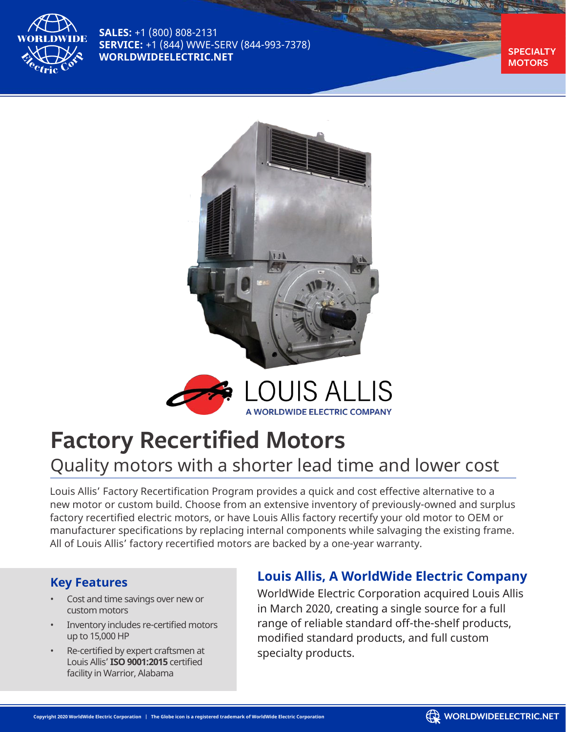

**SALES:** +1 (800) 808-2131 **SERVICE:** +1 (844) WWE-SERV (844-993-7378) **WORLDWIDEELECTRIC.NET** 

**MOTORS**





## **Factory Recertified Motors**

### Quality motors with a shorter lead time and lower cost

Louis Allis' Factory Recertification Program provides a quick and cost effective alternative to a new motor or custom build. Choose from an extensive inventory of previously-owned and surplus factory recertified electric motors, or have Louis Allis factory recertify your old motor to OEM or manufacturer specifications by replacing internal components while salvaging the existing frame. All of Louis Allis' factory recertified motors are backed by a one-year warranty.

#### **Key Features**

- Cost and time savings over new or custom motors
- Inventory includes re-certified motors up to 15,000 HP
- Re-certified by expert craftsmen at Louis Allis' **ISO 9001:2015** certified facility in Warrior, Alabama

#### **Louis Allis, A WorldWide Electric Company**

WorldWide Electric Corporation acquired Louis Allis in March 2020, creating a single source for a full range of reliable standard off-the-shelf products, modified standard products, and full custom specialty products.